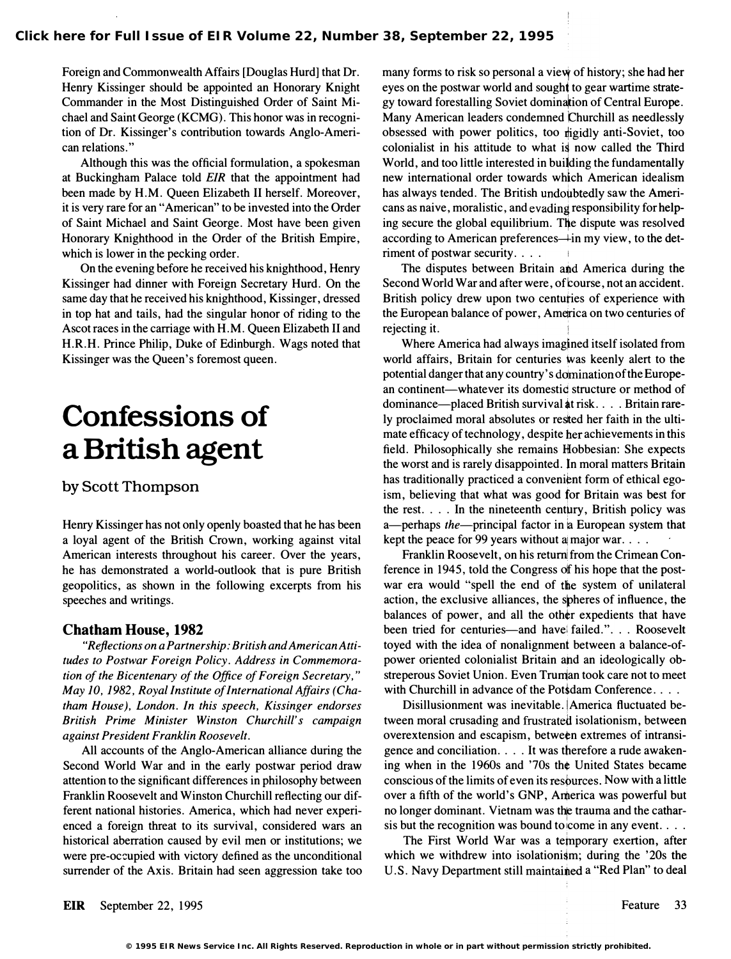Foreign and Commonwealth Affairs [Douglas Hurd] that Dr. Henry Kissinger should be appointed an Honorary Knight Commander in the Most Distinguished Order of Saint Michael and Saint George (KCMG). This honor was in recognition of Dr. Kissinger's contribution towards Anglo-American relations."

Although this was the official formulation, a spokesman at Buckingham Palace told EIR that the appointment had been made by H.M. Queen Elizabeth II herself. Moreover, it is very rare for an "American" to be invested into the Order of Saint Michael and Saint George. Most have been given Honorary Knighthood in the Order of the British Empire, which is lower in the pecking order.

On the evening before he received his knighthood, Henry Kissinger had dinner with Foreign Secretary Hurd. On the same day that he received his knighthood, Kissinger, dressed in top hat and tails, had the singular honor of riding to the Ascot races in the carriage with H.M. Queen Elizabeth II and H.R.H. Prince Philip, Duke of Edinburgh. Wags noted that Kissinger was the Queen's foremost queen.

## Confessions of a British agent

by Scott Thompson

Henry Kissinger has not only openly boasted that he has been a loyal agent of the British Crown, working against vital American interests throughout his career. Over the years, he has demonstrated a world-outlook that is pure British geopolitics, as shown in the following excerpts from his speeches and writings.

## Chatham House, 1982

"Reflections on a Partnership: British and American Attitudes to Postwar Foreign Policy. Address in Commemoration of the Bicentenary of the Office of Foreign Secretary," May 10, 1982, Royal Institute of International Affairs (Chatham House), London. In this speech, Kissinger endorses British Prime Minister Winston Churchill's campaign against President Franklin Roosevelt.

All accounts of the Anglo-American alliance during the Second World War and in the early postwar period draw attention to the significant differences in philosophy between Franklin Roosevelt and Winston Churchill reflecting our different national histories. America, which had never experienced a foreign threat to its survival, considered wars an historical aberration caused by evil men or institutions; we were pre-occupied with victory defined as the unconditional surrender of the Axis. Britain had seen aggression take too

many forms to risk so personal a view of history; she had her eyes on the postwar world and sought to gear wartime strategy toward forestalling Soviet domination of Central Europe. Many American leaders condemned Churchill as needlessly obsessed with power politics, too rigidly anti-Soviet, too colonialist in his attitude to what is now called the Third World, and too little interested in building the fundamentally new international order towards which American idealism : has always tended. The British undoubtedly saw the Americans as naive, moralistic, and evading responsibility for helping secure the global equilibrium. T�e dispute was resolved according to American preferences—in my view, to the detriment of postwar security. . . .

The disputes between Britain and America during the Second World War and after were, of course, not an accident. British policy drew upon two centuties of experience with the European balance of power, America on two centuries of rejecting it.

Where America had always imagined itself isolated from world affairs, Britain for centuries was keenly alert to the potential danger that any country's ddmination of the European continent-whatever its domestic structure or method of dominance—placed British survival at risk .... Britain rarely proclaimed moral absolutes or reSted her faith in the ultimate efficacy of technology, despite her achievements in this field. Philosophically she remains Hobbesian: She expects the worst and is rarely disappointed. In moral matters Britain has traditionally practiced a convenient form of ethical egoism, believing that what was good for Britain was best for the rest.  $\ldots$  In the nineteenth century, British policy was a-perhaps the-principal factor in a European system that kept the peace for 99 years without a major war....

Franklin Roosevelt, on his return from the Crimean Conference in 1945, told the Congress Of his hope that the postwar era would "spell the end of the system of unilateral action, the exclusive alliances, the spheres of influence, the balances of power, and all the other expedients that have been tried for centuries-and have failed.". . . Roosevelt toyed with the idea of nonalignment between a balance-ofpower oriented colonialist Britain apd an ideologically obstreperous Soviet Union. Even Truman took care not to meet with Churchill in advance of the Potsdam Conference....

Disillusionment was inevitable. America fluctuated between moral crusading and frustrated isolationism, between overextension and escapism, between extremes of intransigence and conciliation .... It was therefore a rude awakening when in the 1960s and '70s th¢ United States became conscious of the limits of even its resources. Now with a little over a fifth of the world's GNP, America was powerful but no longer dominant. Vietnam was the trauma and the catharsis but the recognition was bound to come in any event.  $\ldots$ 

The First World War was a temporary exertion, after which we withdrew into isolationism; during the '20s the U.S. Navy Department still maintained a "Red Plan" to deal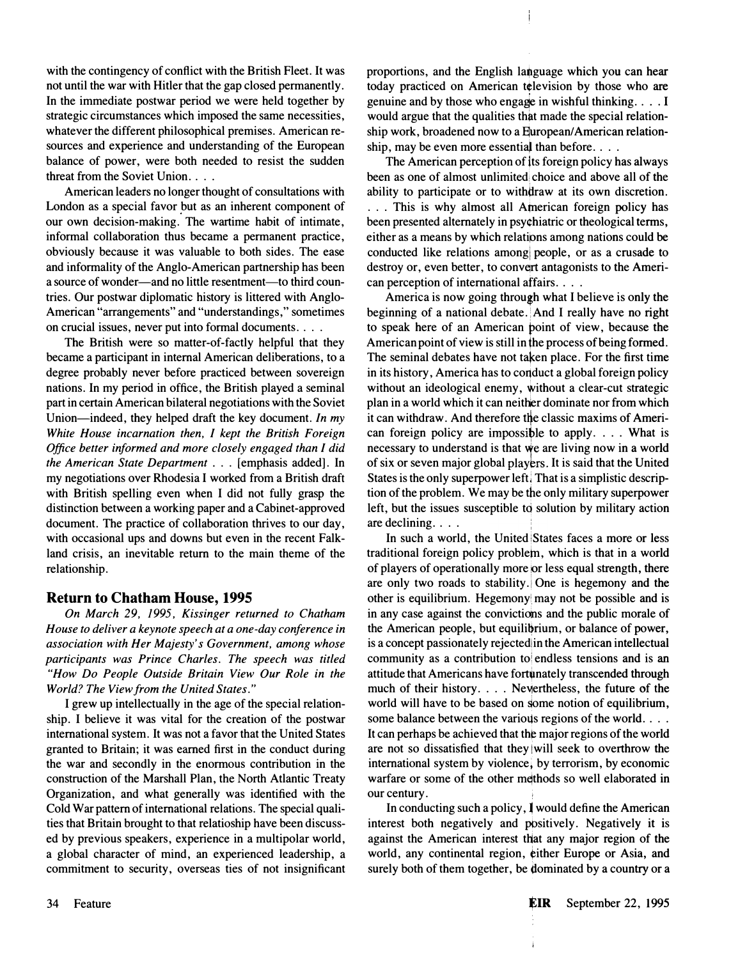with the contingency of conflict with the British Fleet. It was not until the war with Hitler that the gap closed permanently. In the immediate postwar period we were held together by strategic circumstances which imposed the same necessities, whatever the different philosophical premises. American resources and experience and understanding of the European balance of power, were both needed to resist the sudden threat from the Soviet Union....

American leaders no longer thought of consultations with London as a special favor but as an inherent component of our own decision-making. The wartime habit of intimate, informal collaboration thus became a permanent practice, obviously because it was valuable to both sides. The ease and infonnality of the Anglo-American partnership has been a source of wonder-and no little resentment-to third countries. Our postwar diplomatic history is littered with Anglo-American "arrangements " and "understandings, " sometimes on crucial issues, never put into formal documents. . . .

The British were so matter-of-factly helpful that they became a participant in internal American deliberations, to a degree probably never before practiced between sovereign nations. In my period in office, the British played a seminal part in certain American bilateral negotiations with the Soviet Union—indeed, they helped draft the key document. In my White House incarnation then, I kept the British Foreign Office better informed and more closely engaged than I did the American State Department ... [emphasis added]. In my negotiations over Rhodesia I worked from a British draft with British spelling even when I did not fully grasp the distinction between a working paper and a Cabinet-approved document. The practice of collaboration thrives to our day, with occasional ups and downs but even in the recent Falkland crisis, an inevitable return to the main theme of the relationship.

## Return to Chatham House, 1995

On March 29, 1995, Kissinger returned to Chatham House to deliver a keynote speech at a one-day conference in association with Her Majesty's Government, among whose participants was Prince Charles. The speech was titled "How Do People Outside Britain View Our Role in the World? The View from the United States."

I grew up intellectually in the age of the special relationship. I believe it was vital for the creation of the postwar international system. It was not a favor that the United States granted to Britain; it was earned first in the conduct during the war and secondly in the enormous contribution in the construction of the Marshall Plan, the North Atlantic Treaty Organization, and what generally was identified with the Cold War pattern of international relations. The special qualities that Britain brought to that relatioship have been discussed by previous speakers, experience in a multipolar world, a global character of mind, an experienced leadership, a commitment to security, overseas ties of not insignificant proportions, and the English language which you can hear today practiced on American t�levision by those who are genuine and by those who engage in wishful thinking.  $\ldots$  I would argue that the qualities that made the special relationship work, broadened now to a European/American relationship, may be even more essential than before....

The American perception of its foreign policy has always been as one of almost unlimited choice and above all of the ability to participate or to with�raw at its own discretion. ... This is why almost all American foreign policy has been presented alternately in psychiatric or theological terms, either as a means by which relations among nations could be conducted like relations amongi people, or as a crusade to destroy or, even better, to convert antagonists to the American perception of international affairs. . . .

America is now going through what I believe is only the beginning of a national debate. And I really have no right to speak here of an American �oint of view, because the American point of view is still in the process of being formed. The seminal debates have not taken place. For the first time in its history, America has to conduct a global foreign policy without an ideological enemy, without a clear-cut strategic plan in a world which it can neither dominate nor from which it can withdraw. And therefore the classic maxims of American foreign policy are impossible to apply.  $\ldots$  What is necessary to understand is that we are living now in a world of six or seven major global players. It is said that the United States is the only superpower left. That is a simplistic description of the problem. We may be the only military superpower left, but the issues susceptible to solution by military action are declining.  $\ldots$ 

In such a world, the United States faces a more or less traditional foreign policy problem, which is that in a world of players of operationally more �r less equal strength, there are only two roads to stability. One is hegemony and the other is equilibrium. Hegemonyl may not be possible and is in any case against the convictions and the public morale of the American people, but equili�rium, or balance of power, is a concept passionately rejected in the American intellectual community as a contribution to endless tensions and is an attitude that Americans have fo�nately transcended through much of their history.... Nevertheless, the future of the world will have to be based on some notion of equilibrium, some balance between the various regions of the world. . . . It can perhaps be achieved that the major regions of the world are not so dissatisfied that they will seek to overthrow the international system by violence; by terrorism, by economic warfare or some of the other m�thods so well elaborated in our century .

In conducting such a policy, I would define the American interest both negatively and pbsitively. Negatively it is against the American interest that any major region of the world, any continental region, �ither Europe or Asia, and surely both of them together, be dominated by a country or a